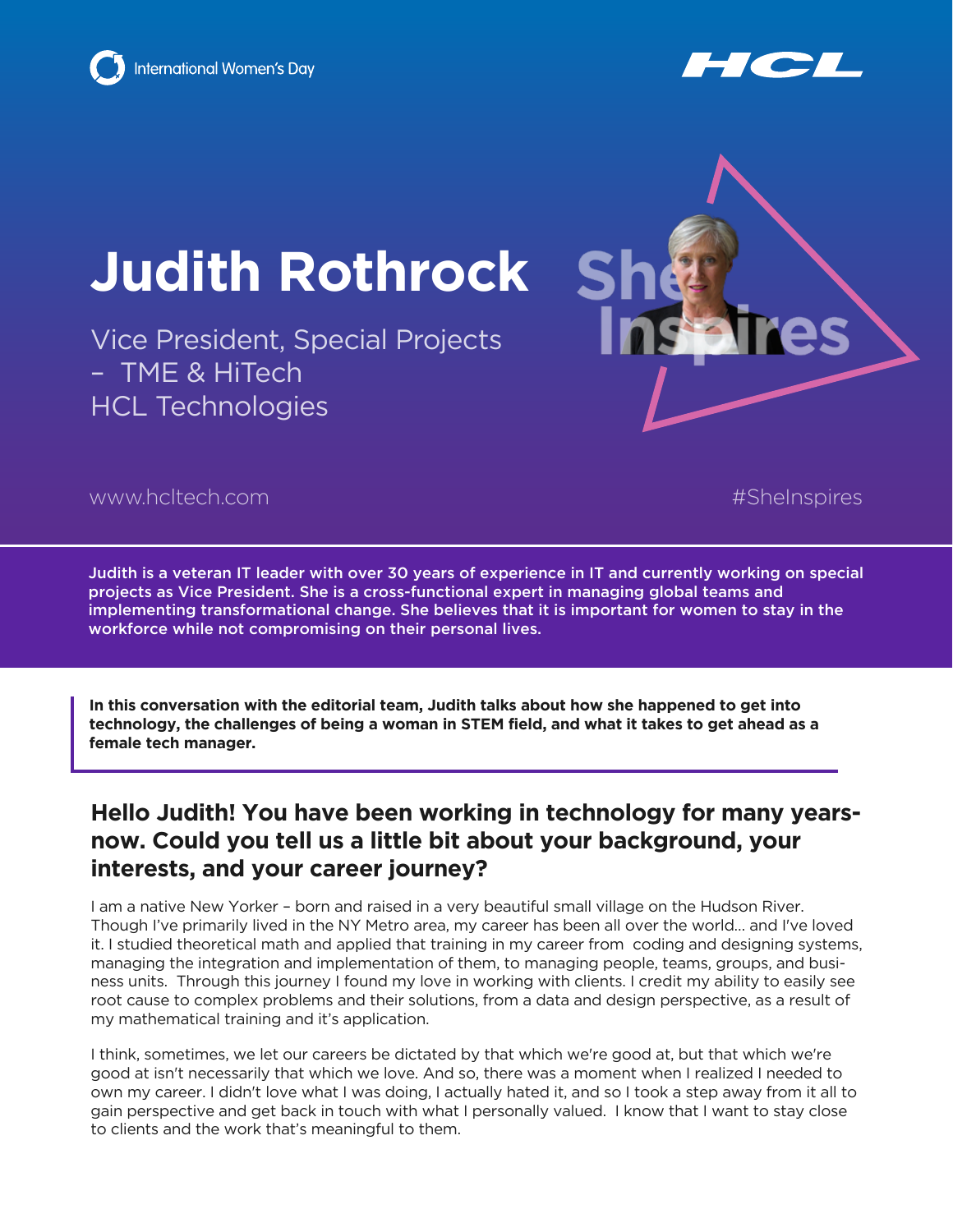



# **Judith Rothrock**

Vice President, Special Projects – TME & HiTech HCL Technologies



www.hcltech.com #SheInspires

Judith is a veteran IT leader with over 30 years of experience in IT and currently working on special projects as Vice President. She is a cross-functional expert in managing global teams and implementing transformational change. She believes that it is important for women to stay in the workforce while not compromising on their personal lives.

**In this conversation with the editorial team, Judith talks about how she happened to get into technology, the challenges of being a woman in STEM field, and what it takes to get ahead as a female tech manager.**

## **Hello Judith! You have been working in technology for many yearsnow. Could you tell us a little bit about your background, your interests, and your career journey?**

I am a native New Yorker – born and raised in a very beautiful small village on the Hudson River. Though I've primarily lived in the NY Metro area, my career has been all over the world… and I've loved it. I studied theoretical math and applied that training in my career from coding and designing systems, managing the integration and implementation of them, to managing people, teams, groups, and business units. Through this journey I found my love in working with clients. I credit my ability to easily see root cause to complex problems and their solutions, from a data and design perspective, as a result of my mathematical training and it's application.

I think, sometimes, we let our careers be dictated by that which we're good at, but that which we're good at isn't necessarily that which we love. And so, there was a moment when I realized I needed to own my career. I didn't love what I was doing, I actually hated it, and so I took a step away from it all to gain perspective and get back in touch with what I personally valued. I know that I want to stay close to clients and the work that's meaningful to them.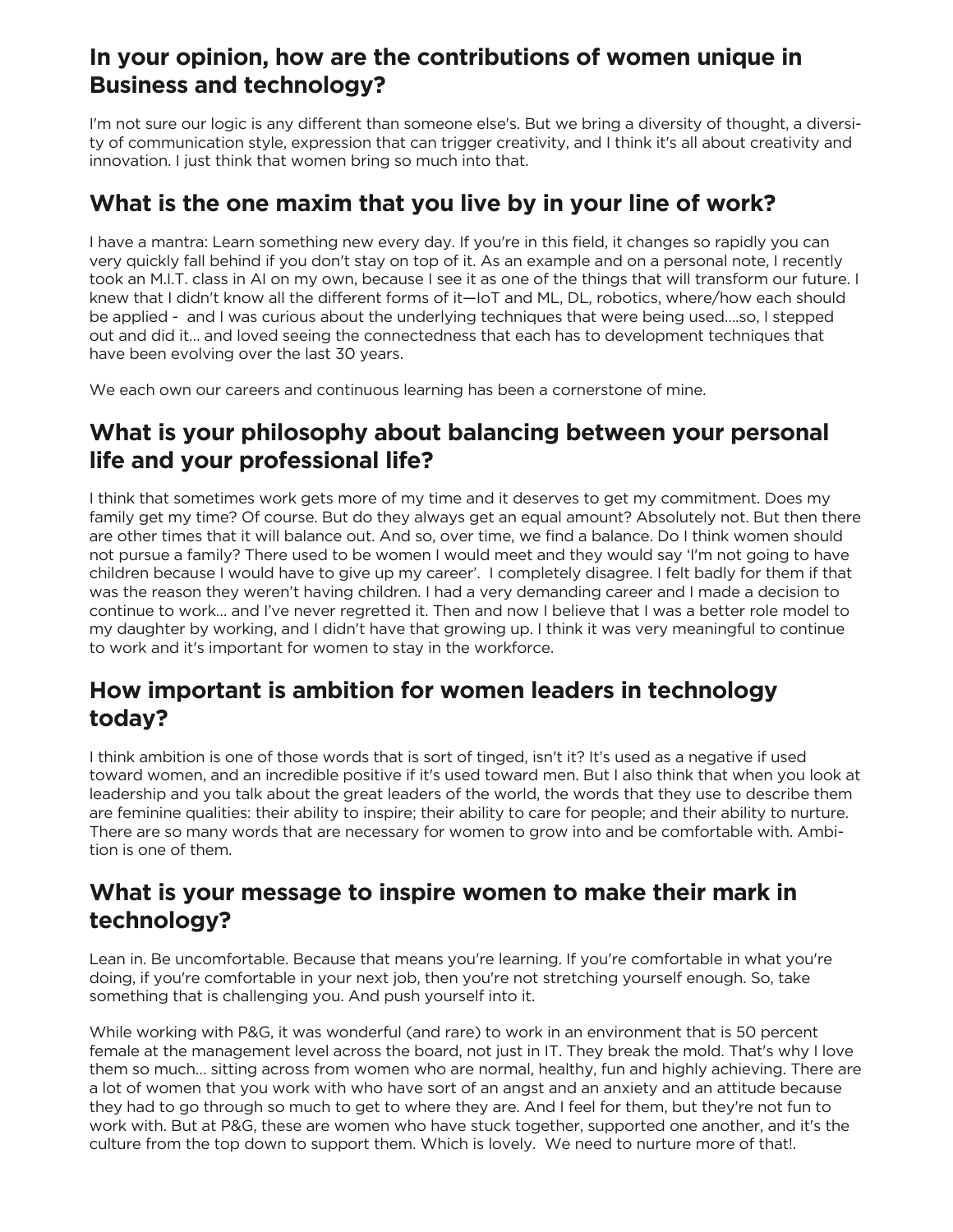# **In your opinion, how are the contributions of women unique in Business and technology?**

I'm not sure our logic is any different than someone else's. But we bring a diversity of thought, a diversity of communication style, expression that can trigger creativity, and I think it's all about creativity and innovation. I just think that women bring so much into that.

#### **What is the one maxim that you live by in your line of work?**

I have a mantra: Learn something new every day. If you're in this field, it changes so rapidly you can very quickly fall behind if you don't stay on top of it. As an example and on a personal note, I recently took an M.I.T. class in AI on my own, because I see it as one of the things that will transform our future. I knew that I didn't know all the different forms of it—IoT and ML, DL, robotics, where/how each should be applied - and I was curious about the underlying techniques that were being used….so, I stepped out and did it… and loved seeing the connectedness that each has to development techniques that have been evolving over the last 30 years.

We each own our careers and continuous learning has been a cornerstone of mine.

# **What is your philosophy about balancing between your personal life and your professional life?**

I think that sometimes work gets more of my time and it deserves to get my commitment. Does my family get my time? Of course. But do they always get an equal amount? Absolutely not. But then there are other times that it will balance out. And so, over time, we find a balance. Do I think women should not pursue a family? There used to be women I would meet and they would say 'I'm not going to have children because I would have to give up my career'. I completely disagree. I felt badly for them if that was the reason they weren't having children. I had a very demanding career and I made a decision to continue to work… and I've never regretted it. Then and now I believe that I was a better role model to my daughter by working, and I didn't have that growing up. I think it was very meaningful to continue to work and it's important for women to stay in the workforce.

## **How important is ambition for women leaders in technology today?**

I think ambition is one of those words that is sort of tinged, isn't it? It's used as a negative if used toward women, and an incredible positive if it's used toward men. But I also think that when you look at leadership and you talk about the great leaders of the world, the words that they use to describe them are feminine qualities: their ability to inspire; their ability to care for people; and their ability to nurture. There are so many words that are necessary for women to grow into and be comfortable with. Ambition is one of them.

#### **What is your message to inspire women to make their mark in technology?**

Lean in. Be uncomfortable. Because that means you're learning. If you're comfortable in what you're doing, if you're comfortable in your next job, then you're not stretching yourself enough. So, take something that is challenging you. And push yourself into it.

While working with P&G, it was wonderful (and rare) to work in an environment that is 50 percent female at the management level across the board, not just in IT. They break the mold. That's why I love them so much… sitting across from women who are normal, healthy, fun and highly achieving. There are a lot of women that you work with who have sort of an angst and an anxiety and an attitude because they had to go through so much to get to where they are. And I feel for them, but they're not fun to work with. But at P&G, these are women who have stuck together, supported one another, and it's the culture from the top down to support them. Which is lovely. We need to nurture more of that!.